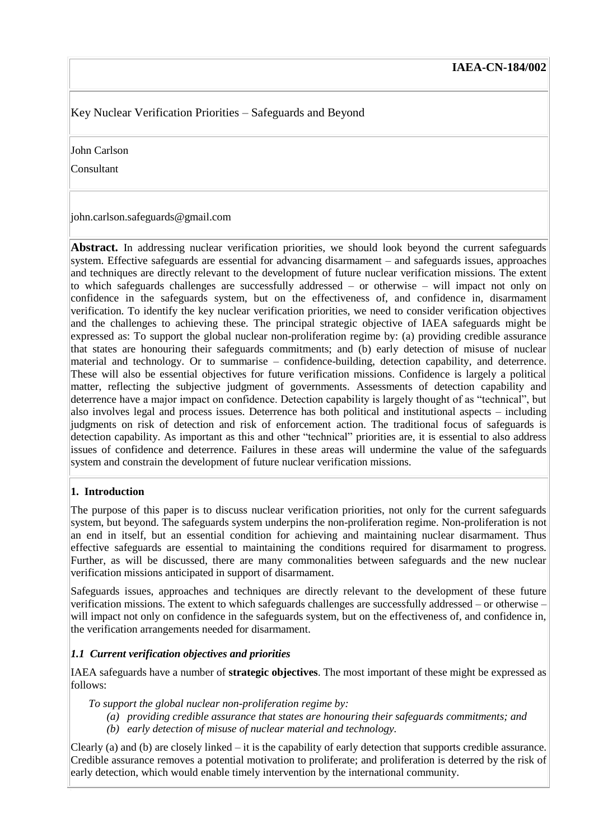# Key Nuclear Verification Priorities – Safeguards and Beyond

John Carlson

Consultant

john.carlson.safeguards@gmail.com

**Abstract.** In addressing nuclear verification priorities, we should look beyond the current safeguards system. Effective safeguards are essential for advancing disarmament – and safeguards issues, approaches and techniques are directly relevant to the development of future nuclear verification missions. The extent to which safeguards challenges are successfully addressed – or otherwise – will impact not only on confidence in the safeguards system, but on the effectiveness of, and confidence in, disarmament verification. To identify the key nuclear verification priorities, we need to consider verification objectives and the challenges to achieving these. The principal strategic objective of IAEA safeguards might be expressed as: To support the global nuclear non-proliferation regime by: (a) providing credible assurance that states are honouring their safeguards commitments; and (b) early detection of misuse of nuclear material and technology. Or to summarise – confidence-building, detection capability, and deterrence. These will also be essential objectives for future verification missions. Confidence is largely a political matter, reflecting the subjective judgment of governments. Assessments of detection capability and deterrence have a major impact on confidence. Detection capability is largely thought of as "technical", but also involves legal and process issues. Deterrence has both political and institutional aspects – including judgments on risk of detection and risk of enforcement action. The traditional focus of safeguards is detection capability. As important as this and other "technical" priorities are, it is essential to also address issues of confidence and deterrence. Failures in these areas will undermine the value of the safeguards system and constrain the development of future nuclear verification missions.

## **1. Introduction**

The purpose of this paper is to discuss nuclear verification priorities, not only for the current safeguards system, but beyond. The safeguards system underpins the non-proliferation regime. Non-proliferation is not an end in itself, but an essential condition for achieving and maintaining nuclear disarmament. Thus effective safeguards are essential to maintaining the conditions required for disarmament to progress. Further, as will be discussed, there are many commonalities between safeguards and the new nuclear verification missions anticipated in support of disarmament.

Safeguards issues, approaches and techniques are directly relevant to the development of these future verification missions. The extent to which safeguards challenges are successfully addressed – or otherwise – will impact not only on confidence in the safeguards system, but on the effectiveness of, and confidence in, the verification arrangements needed for disarmament.

## *1.1 Current verification objectives and priorities*

IAEA safeguards have a number of **strategic objectives**. The most important of these might be expressed as follows:

*To support the global nuclear non-proliferation regime by:*

- *(a) providing credible assurance that states are honouring their safeguards commitments; and*
- *(b) early detection of misuse of nuclear material and technology.*

Clearly (a) and (b) are closely linked – it is the capability of early detection that supports credible assurance. Credible assurance removes a potential motivation to proliferate; and proliferation is deterred by the risk of early detection, which would enable timely intervention by the international community.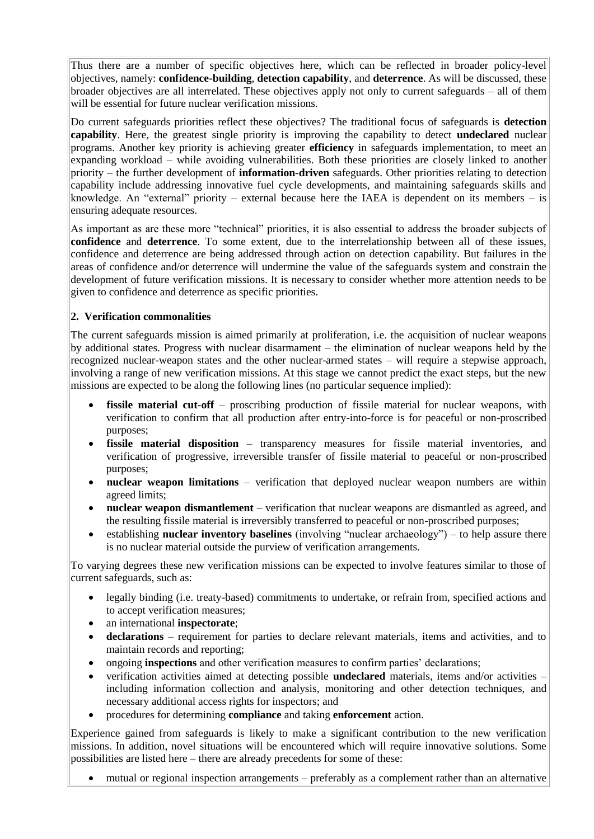Thus there are a number of specific objectives here, which can be reflected in broader policy-level objectives, namely: **confidence-building**, **detection capability**, and **deterrence**. As will be discussed, these broader objectives are all interrelated. These objectives apply not only to current safeguards – all of them will be essential for future nuclear verification missions.

Do current safeguards priorities reflect these objectives? The traditional focus of safeguards is **detection capability**. Here, the greatest single priority is improving the capability to detect **undeclared** nuclear programs. Another key priority is achieving greater **efficiency** in safeguards implementation, to meet an expanding workload – while avoiding vulnerabilities. Both these priorities are closely linked to another priority – the further development of **information-driven** safeguards. Other priorities relating to detection capability include addressing innovative fuel cycle developments, and maintaining safeguards skills and knowledge. An "external" priority – external because here the IAEA is dependent on its members – is ensuring adequate resources.

As important as are these more "technical" priorities, it is also essential to address the broader subjects of **confidence** and **deterrence**. To some extent, due to the interrelationship between all of these issues, confidence and deterrence are being addressed through action on detection capability. But failures in the areas of confidence and/or deterrence will undermine the value of the safeguards system and constrain the development of future verification missions. It is necessary to consider whether more attention needs to be given to confidence and deterrence as specific priorities.

### **2. Verification commonalities**

The current safeguards mission is aimed primarily at proliferation, i.e. the acquisition of nuclear weapons by additional states. Progress with nuclear disarmament – the elimination of nuclear weapons held by the recognized nuclear-weapon states and the other nuclear-armed states – will require a stepwise approach, involving a range of new verification missions. At this stage we cannot predict the exact steps, but the new missions are expected to be along the following lines (no particular sequence implied):

- **fissile material cut-off** proscribing production of fissile material for nuclear weapons, with verification to confirm that all production after entry-into-force is for peaceful or non-proscribed purposes;
- **fissile material disposition** transparency measures for fissile material inventories, and verification of progressive, irreversible transfer of fissile material to peaceful or non-proscribed purposes;
- **nuclear weapon limitations** verification that deployed nuclear weapon numbers are within agreed limits;
- **nuclear weapon dismantlement** verification that nuclear weapons are dismantled as agreed, and the resulting fissile material is irreversibly transferred to peaceful or non-proscribed purposes;
- establishing **nuclear inventory baselines** (involving "nuclear archaeology") to help assure there is no nuclear material outside the purview of verification arrangements.

To varying degrees these new verification missions can be expected to involve features similar to those of current safeguards, such as:

- legally binding (i.e. treaty-based) commitments to undertake, or refrain from, specified actions and to accept verification measures;
- an international **inspectorate**;
- **declarations** requirement for parties to declare relevant materials, items and activities, and to maintain records and reporting;
- ongoing **inspections** and other verification measures to confirm parties' declarations;
- verification activities aimed at detecting possible **undeclared** materials, items and/or activities including information collection and analysis, monitoring and other detection techniques, and necessary additional access rights for inspectors; and
- procedures for determining **compliance** and taking **enforcement** action.

Experience gained from safeguards is likely to make a significant contribution to the new verification missions. In addition, novel situations will be encountered which will require innovative solutions. Some possibilities are listed here – there are already precedents for some of these:

mutual or regional inspection arrangements – preferably as a complement rather than an alternative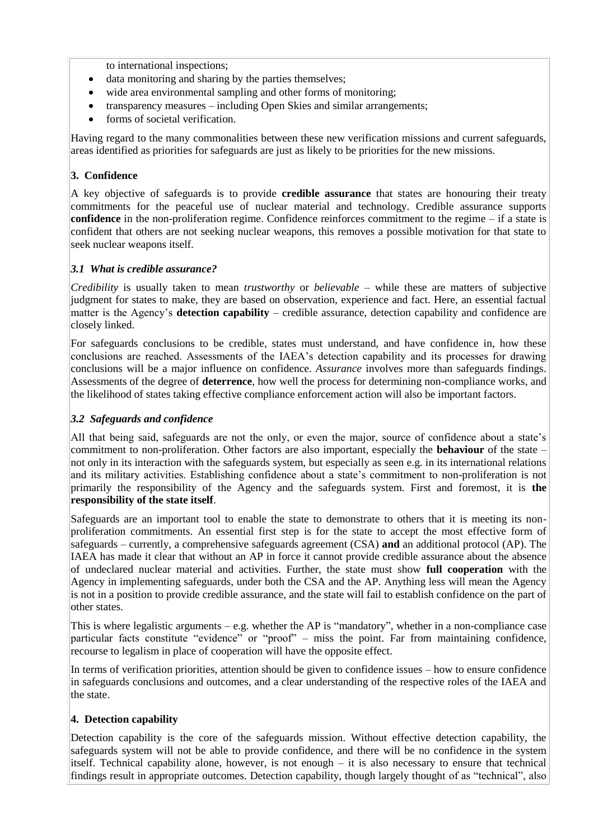to international inspections;

- data monitoring and sharing by the parties themselves;
- wide area environmental sampling and other forms of monitoring;
- transparency measures including Open Skies and similar arrangements;
- forms of societal verification.

Having regard to the many commonalities between these new verification missions and current safeguards, areas identified as priorities for safeguards are just as likely to be priorities for the new missions.

### **3. Confidence**

A key objective of safeguards is to provide **credible assurance** that states are honouring their treaty commitments for the peaceful use of nuclear material and technology. Credible assurance supports **confidence** in the non-proliferation regime. Confidence reinforces commitment to the regime – if a state is confident that others are not seeking nuclear weapons, this removes a possible motivation for that state to seek nuclear weapons itself.

### *3.1 What is credible assurance?*

*Credibility* is usually taken to mean *trustworthy* or *believable* – while these are matters of subjective judgment for states to make, they are based on observation, experience and fact. Here, an essential factual matter is the Agency's **detection capability** – credible assurance, detection capability and confidence are closely linked.

For safeguards conclusions to be credible, states must understand, and have confidence in, how these conclusions are reached. Assessments of the IAEA's detection capability and its processes for drawing conclusions will be a major influence on confidence. *Assurance* involves more than safeguards findings. Assessments of the degree of **deterrence**, how well the process for determining non-compliance works, and the likelihood of states taking effective compliance enforcement action will also be important factors.

### *3.2 Safeguards and confidence*

All that being said, safeguards are not the only, or even the major, source of confidence about a state's commitment to non-proliferation. Other factors are also important, especially the **behaviour** of the state – not only in its interaction with the safeguards system, but especially as seen e.g. in its international relations and its military activities. Establishing confidence about a state's commitment to non-proliferation is not primarily the responsibility of the Agency and the safeguards system. First and foremost, it is **the responsibility of the state itself**.

Safeguards are an important tool to enable the state to demonstrate to others that it is meeting its nonproliferation commitments. An essential first step is for the state to accept the most effective form of safeguards – currently, a comprehensive safeguards agreement (CSA) **and** an additional protocol (AP). The IAEA has made it clear that without an AP in force it cannot provide credible assurance about the absence of undeclared nuclear material and activities. Further, the state must show **full cooperation** with the Agency in implementing safeguards, under both the CSA and the AP. Anything less will mean the Agency is not in a position to provide credible assurance, and the state will fail to establish confidence on the part of other states.

This is where legalistic arguments – e.g. whether the AP is "mandatory", whether in a non-compliance case particular facts constitute "evidence" or "proof" – miss the point. Far from maintaining confidence, recourse to legalism in place of cooperation will have the opposite effect.

In terms of verification priorities, attention should be given to confidence issues – how to ensure confidence in safeguards conclusions and outcomes, and a clear understanding of the respective roles of the IAEA and the state.

### **4. Detection capability**

Detection capability is the core of the safeguards mission. Without effective detection capability, the safeguards system will not be able to provide confidence, and there will be no confidence in the system itself. Technical capability alone, however, is not enough – it is also necessary to ensure that technical findings result in appropriate outcomes. Detection capability, though largely thought of as "technical", also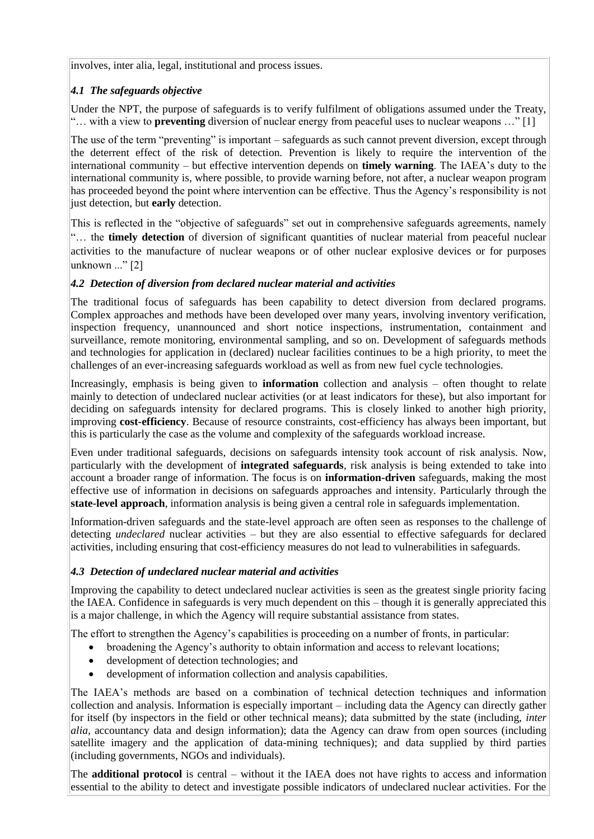involves, inter alia, legal, institutional and process issues.

### *4.1 The safeguards objective*

Under the NPT, the purpose of safeguards is to verify fulfilment of obligations assumed under the Treaty, "… with a view to **preventing** diversion of nuclear energy from peaceful uses to nuclear weapons …" [1]

The use of the term "preventing" is important – safeguards as such cannot prevent diversion, except through the deterrent effect of the risk of detection. Prevention is likely to require the intervention of the international community – but effective intervention depends on **timely warning**. The IAEA's duty to the international community is, where possible, to provide warning before, not after, a nuclear weapon program has proceeded beyond the point where intervention can be effective. Thus the Agency's responsibility is not just detection, but **early** detection.

This is reflected in the "objective of safeguards" set out in comprehensive safeguards agreements, namely "… the **timely detection** of diversion of significant quantities of nuclear material from peaceful nuclear activities to the manufacture of nuclear weapons or of other nuclear explosive devices or for purposes unknown ..." [2]

### *4.2 Detection of diversion from declared nuclear material and activities*

The traditional focus of safeguards has been capability to detect diversion from declared programs. Complex approaches and methods have been developed over many years, involving inventory verification, inspection frequency, unannounced and short notice inspections, instrumentation, containment and surveillance, remote monitoring, environmental sampling, and so on. Development of safeguards methods and technologies for application in (declared) nuclear facilities continues to be a high priority, to meet the challenges of an ever-increasing safeguards workload as well as from new fuel cycle technologies.

Increasingly, emphasis is being given to **information** collection and analysis – often thought to relate mainly to detection of undeclared nuclear activities (or at least indicators for these), but also important for deciding on safeguards intensity for declared programs. This is closely linked to another high priority, improving **cost-efficiency**. Because of resource constraints, cost-efficiency has always been important, but this is particularly the case as the volume and complexity of the safeguards workload increase.

Even under traditional safeguards, decisions on safeguards intensity took account of risk analysis. Now, particularly with the development of **integrated safeguards**, risk analysis is being extended to take into account a broader range of information. The focus is on **information-driven** safeguards, making the most effective use of information in decisions on safeguards approaches and intensity. Particularly through the **state-level approach**, information analysis is being given a central role in safeguards implementation.

Information-driven safeguards and the state-level approach are often seen as responses to the challenge of detecting *undeclared* nuclear activities – but they are also essential to effective safeguards for declared activities, including ensuring that cost-efficiency measures do not lead to vulnerabilities in safeguards.

### *4.3 Detection of undeclared nuclear material and activities*

Improving the capability to detect undeclared nuclear activities is seen as the greatest single priority facing the IAEA. Confidence in safeguards is very much dependent on this – though it is generally appreciated this is a major challenge, in which the Agency will require substantial assistance from states.

The effort to strengthen the Agency's capabilities is proceeding on a number of fronts, in particular:

- broadening the Agency's authority to obtain information and access to relevant locations;
- development of detection technologies; and
- development of information collection and analysis capabilities.

The IAEA's methods are based on a combination of technical detection techniques and information collection and analysis. Information is especially important – including data the Agency can directly gather for itself (by inspectors in the field or other technical means); data submitted by the state (including, *inter alia,* accountancy data and design information); data the Agency can draw from open sources (including satellite imagery and the application of data-mining techniques); and data supplied by third parties (including governments, NGOs and individuals).

The **additional protocol** is central – without it the IAEA does not have rights to access and information essential to the ability to detect and investigate possible indicators of undeclared nuclear activities. For the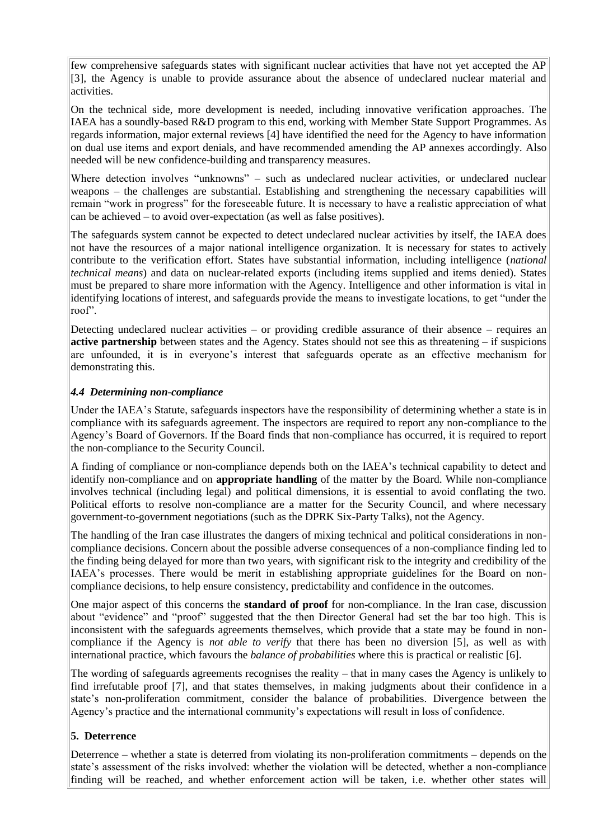few comprehensive safeguards states with significant nuclear activities that have not yet accepted the AP [3], the Agency is unable to provide assurance about the absence of undeclared nuclear material and activities.

On the technical side, more development is needed, including innovative verification approaches. The IAEA has a soundly-based R&D program to this end, working with Member State Support Programmes. As regards information, major external reviews [4] have identified the need for the Agency to have information on dual use items and export denials, and have recommended amending the AP annexes accordingly. Also needed will be new confidence-building and transparency measures.

Where detection involves "unknowns" – such as undeclared nuclear activities, or undeclared nuclear weapons – the challenges are substantial. Establishing and strengthening the necessary capabilities will remain "work in progress" for the foreseeable future. It is necessary to have a realistic appreciation of what can be achieved – to avoid over-expectation (as well as false positives).

The safeguards system cannot be expected to detect undeclared nuclear activities by itself, the IAEA does not have the resources of a major national intelligence organization. It is necessary for states to actively contribute to the verification effort. States have substantial information, including intelligence (*national technical means*) and data on nuclear-related exports (including items supplied and items denied). States must be prepared to share more information with the Agency. Intelligence and other information is vital in identifying locations of interest, and safeguards provide the means to investigate locations, to get "under the roof".

Detecting undeclared nuclear activities – or providing credible assurance of their absence – requires an **active partnership** between states and the Agency. States should not see this as threatening – if suspicions are unfounded, it is in everyone's interest that safeguards operate as an effective mechanism for demonstrating this.

### *4.4 Determining non-compliance*

Under the IAEA's Statute, safeguards inspectors have the responsibility of determining whether a state is in compliance with its safeguards agreement. The inspectors are required to report any non-compliance to the Agency's Board of Governors. If the Board finds that non-compliance has occurred, it is required to report the non-compliance to the Security Council.

A finding of compliance or non-compliance depends both on the IAEA's technical capability to detect and identify non-compliance and on **appropriate handling** of the matter by the Board. While non-compliance involves technical (including legal) and political dimensions, it is essential to avoid conflating the two. Political efforts to resolve non-compliance are a matter for the Security Council, and where necessary government-to-government negotiations (such as the DPRK Six-Party Talks), not the Agency.

The handling of the Iran case illustrates the dangers of mixing technical and political considerations in noncompliance decisions. Concern about the possible adverse consequences of a non-compliance finding led to the finding being delayed for more than two years, with significant risk to the integrity and credibility of the IAEA's processes. There would be merit in establishing appropriate guidelines for the Board on noncompliance decisions, to help ensure consistency, predictability and confidence in the outcomes.

One major aspect of this concerns the **standard of proof** for non-compliance. In the Iran case, discussion about "evidence" and "proof" suggested that the then Director General had set the bar too high. This is inconsistent with the safeguards agreements themselves, which provide that a state may be found in noncompliance if the Agency is *not able to verify* that there has been no diversion [5], as well as with international practice, which favours the *balance of probabilities* where this is practical or realistic [6].

The wording of safeguards agreements recognises the reality – that in many cases the Agency is unlikely to find irrefutable proof [7], and that states themselves, in making judgments about their confidence in a state's non-proliferation commitment, consider the balance of probabilities. Divergence between the Agency's practice and the international community's expectations will result in loss of confidence.

#### **5. Deterrence**

Deterrence – whether a state is deterred from violating its non-proliferation commitments – depends on the state's assessment of the risks involved: whether the violation will be detected, whether a non-compliance finding will be reached, and whether enforcement action will be taken, i.e. whether other states will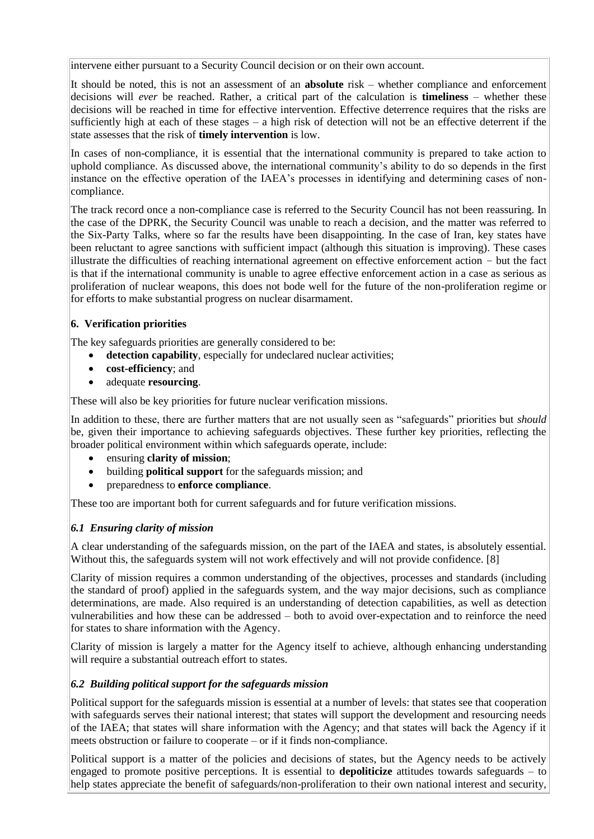intervene either pursuant to a Security Council decision or on their own account.

It should be noted, this is not an assessment of an **absolute** risk – whether compliance and enforcement decisions will *ever* be reached. Rather, a critical part of the calculation is **timeliness** – whether these decisions will be reached in time for effective intervention. Effective deterrence requires that the risks are sufficiently high at each of these stages – a high risk of detection will not be an effective deterrent if the state assesses that the risk of **timely intervention** is low.

In cases of non-compliance, it is essential that the international community is prepared to take action to uphold compliance. As discussed above, the international community's ability to do so depends in the first instance on the effective operation of the IAEA's processes in identifying and determining cases of noncompliance.

The track record once a non-compliance case is referred to the Security Council has not been reassuring. In the case of the DPRK, the Security Council was unable to reach a decision, and the matter was referred to the Six-Party Talks, where so far the results have been disappointing. In the case of Iran, key states have been reluctant to agree sanctions with sufficient impact (although this situation is improving). These cases illustrate the difficulties of reaching international agreement on effective enforcement action – but the fact is that if the international community is unable to agree effective enforcement action in a case as serious as proliferation of nuclear weapons, this does not bode well for the future of the non-proliferation regime or for efforts to make substantial progress on nuclear disarmament.

### **6. Verification priorities**

The key safeguards priorities are generally considered to be:

- **detection capability**, especially for undeclared nuclear activities;
- **cost-efficiency**; and
- adequate **resourcing**.

These will also be key priorities for future nuclear verification missions.

In addition to these, there are further matters that are not usually seen as "safeguards" priorities but *should* be, given their importance to achieving safeguards objectives. These further key priorities, reflecting the broader political environment within which safeguards operate, include:

- ensuring **clarity of mission**;
- building **political support** for the safeguards mission; and
- preparedness to **enforce compliance**.

These too are important both for current safeguards and for future verification missions.

### *6.1 Ensuring clarity of mission*

A clear understanding of the safeguards mission, on the part of the IAEA and states, is absolutely essential. Without this, the safeguards system will not work effectively and will not provide confidence. [8]

Clarity of mission requires a common understanding of the objectives, processes and standards (including the standard of proof) applied in the safeguards system, and the way major decisions, such as compliance determinations, are made. Also required is an understanding of detection capabilities, as well as detection vulnerabilities and how these can be addressed – both to avoid over-expectation and to reinforce the need for states to share information with the Agency.

Clarity of mission is largely a matter for the Agency itself to achieve, although enhancing understanding will require a substantial outreach effort to states.

### *6.2 Building political support for the safeguards mission*

Political support for the safeguards mission is essential at a number of levels: that states see that cooperation with safeguards serves their national interest; that states will support the development and resourcing needs of the IAEA; that states will share information with the Agency; and that states will back the Agency if it meets obstruction or failure to cooperate – or if it finds non-compliance.

Political support is a matter of the policies and decisions of states, but the Agency needs to be actively engaged to promote positive perceptions. It is essential to **depoliticize** attitudes towards safeguards – to help states appreciate the benefit of safeguards/non-proliferation to their own national interest and security,